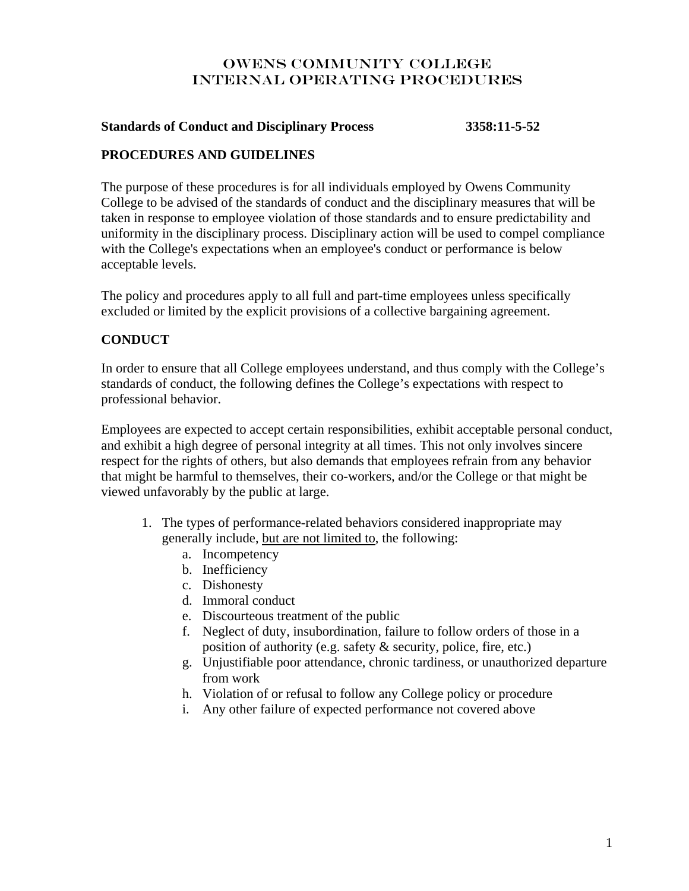#### **Standards of Conduct and Disciplinary Process 3358:11-5-52**

#### **PROCEDURES AND GUIDELINES**

The purpose of these procedures is for all individuals employed by Owens Community College to be advised of the standards of conduct and the disciplinary measures that will be taken in response to employee violation of those standards and to ensure predictability and uniformity in the disciplinary process. Disciplinary action will be used to compel compliance with the College's expectations when an employee's conduct or performance is below acceptable levels.

The policy and procedures apply to all full and part-time employees unless specifically excluded or limited by the explicit provisions of a collective bargaining agreement.

#### **CONDUCT**

In order to ensure that all College employees understand, and thus comply with the College's standards of conduct, the following defines the College's expectations with respect to professional behavior.

Employees are expected to accept certain responsibilities, exhibit acceptable personal conduct, and exhibit a high degree of personal integrity at all times. This not only involves sincere respect for the rights of others, but also demands that employees refrain from any behavior that might be harmful to themselves, their co-workers, and/or the College or that might be viewed unfavorably by the public at large.

- 1. The types of performance-related behaviors considered inappropriate may generally include, but are not limited to, the following:
	- a. Incompetency
	- b. Inefficiency
	- c. Dishonesty
	- d. Immoral conduct
	- e. Discourteous treatment of the public
	- f. Neglect of duty, insubordination, failure to follow orders of those in a position of authority (e.g. safety & security, police, fire, etc.)
	- g. Unjustifiable poor attendance, chronic tardiness, or unauthorized departure from work
	- h. Violation of or refusal to follow any College policy or procedure
	- i. Any other failure of expected performance not covered above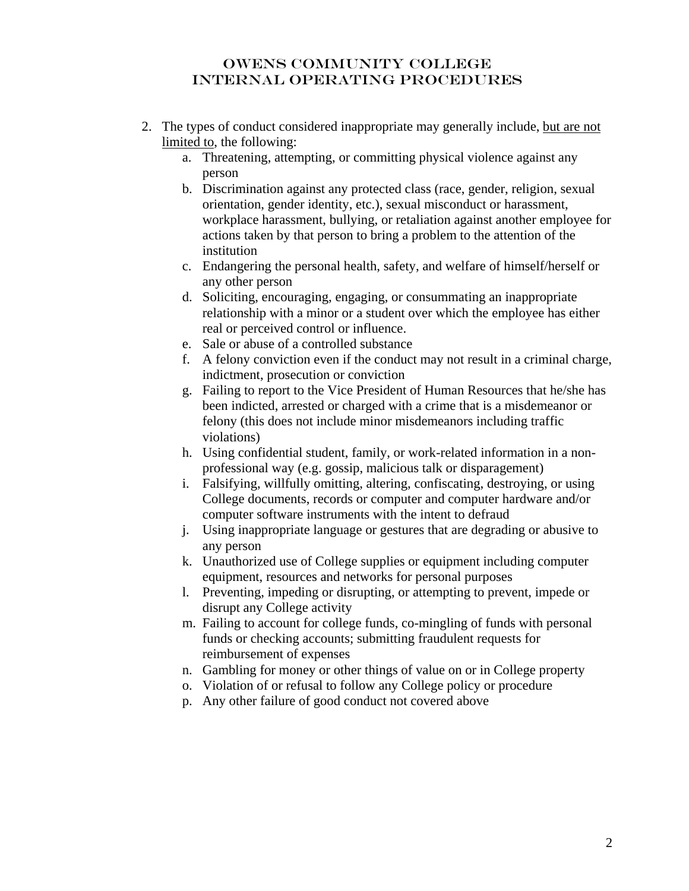- 2. The types of conduct considered inappropriate may generally include, but are not limited to, the following:
	- a. Threatening, attempting, or committing physical violence against any person
	- b. Discrimination against any protected class (race, gender, religion, sexual orientation, gender identity, etc.), sexual misconduct or harassment, workplace harassment, bullying, or retaliation against another employee for actions taken by that person to bring a problem to the attention of the institution
	- c. Endangering the personal health, safety, and welfare of himself/herself or any other person
	- d. Soliciting, encouraging, engaging, or consummating an inappropriate relationship with a minor or a student over which the employee has either real or perceived control or influence.
	- e. Sale or abuse of a controlled substance
	- f. A felony conviction even if the conduct may not result in a criminal charge, indictment, prosecution or conviction
	- g. Failing to report to the Vice President of Human Resources that he/she has been indicted, arrested or charged with a crime that is a misdemeanor or felony (this does not include minor misdemeanors including traffic violations)
	- h. Using confidential student, family, or work-related information in a nonprofessional way (e.g. gossip, malicious talk or disparagement)
	- i. Falsifying, willfully omitting, altering, confiscating, destroying, or using College documents, records or computer and computer hardware and/or computer software instruments with the intent to defraud
	- j. Using inappropriate language or gestures that are degrading or abusive to any person
	- k. Unauthorized use of College supplies or equipment including computer equipment, resources and networks for personal purposes
	- l. Preventing, impeding or disrupting, or attempting to prevent, impede or disrupt any College activity
	- m. Failing to account for college funds, co-mingling of funds with personal funds or checking accounts; submitting fraudulent requests for reimbursement of expenses
	- n. Gambling for money or other things of value on or in College property
	- o. Violation of or refusal to follow any College policy or procedure
	- p. Any other failure of good conduct not covered above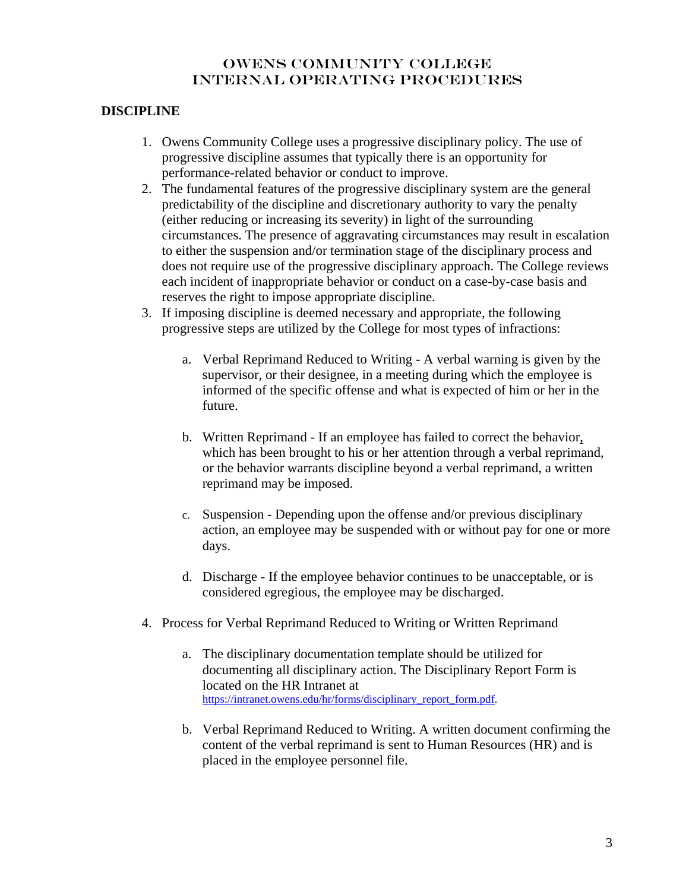# **DISCIPLINE**

- 1. Owens Community College uses a progressive disciplinary policy. The use of progressive discipline assumes that typically there is an opportunity for performance-related behavior or conduct to improve.
- 2. The fundamental features of the progressive disciplinary system are the general predictability of the discipline and discretionary authority to vary the penalty (either reducing or increasing its severity) in light of the surrounding circumstances. The presence of aggravating circumstances may result in escalation to either the suspension and/or termination stage of the disciplinary process and does not require use of the progressive disciplinary approach. The College reviews each incident of inappropriate behavior or conduct on a case-by-case basis and reserves the right to impose appropriate discipline.
- 3. If imposing discipline is deemed necessary and appropriate, the following progressive steps are utilized by the College for most types of infractions:
	- a. Verbal Reprimand Reduced to Writing A verbal warning is given by the supervisor, or their designee, in a meeting during which the employee is informed of the specific offense and what is expected of him or her in the future.
	- b. Written Reprimand If an employee has failed to correct the behavior, which has been brought to his or her attention through a verbal reprimand, or the behavior warrants discipline beyond a verbal reprimand, a written reprimand may be imposed.
	- c. Suspension Depending upon the offense and/or previous disciplinary action, an employee may be suspended with or without pay for one or more days.
	- d. Discharge If the employee behavior continues to be unacceptable, or is considered egregious, the employee may be discharged.
- 4. Process for Verbal Reprimand Reduced to Writing or Written Reprimand
	- a. The disciplinary documentation template should be utilized for documenting all disciplinary action. The Disciplinary Report Form is located on the HR Intranet at [https://intranet.owens.edu/hr/forms/disciplinary\\_report\\_form.pdf.](https://intranet.owens.edu/hr/forms/disciplinary_report_form.pdf)
	- b. Verbal Reprimand Reduced to Writing. A written document confirming the content of the verbal reprimand is sent to Human Resources (HR) and is placed in the employee personnel file.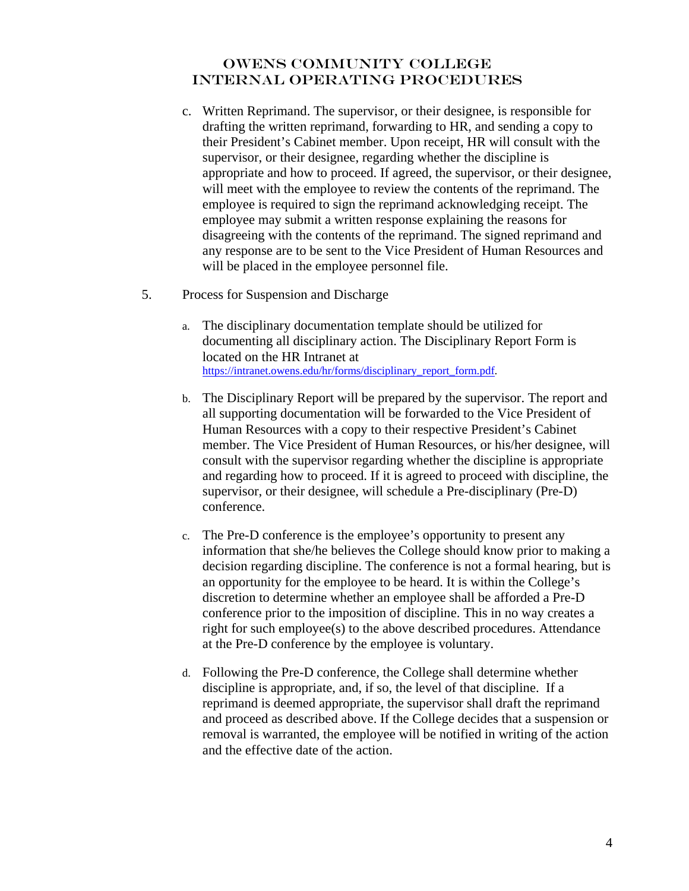- c. Written Reprimand. The supervisor, or their designee, is responsible for drafting the written reprimand, forwarding to HR, and sending a copy to their President's Cabinet member. Upon receipt, HR will consult with the supervisor, or their designee, regarding whether the discipline is appropriate and how to proceed. If agreed, the supervisor, or their designee, will meet with the employee to review the contents of the reprimand. The employee is required to sign the reprimand acknowledging receipt. The employee may submit a written response explaining the reasons for disagreeing with the contents of the reprimand. The signed reprimand and any response are to be sent to the Vice President of Human Resources and will be placed in the employee personnel file.
- 5. Process for Suspension and Discharge
	- a. The disciplinary documentation template should be utilized for documenting all disciplinary action. The Disciplinary Report Form is located on the HR Intranet at [https://intranet.owens.edu/hr/forms/disciplinary\\_report\\_form.pdf.](https://intranet.owens.edu/hr/forms/disciplinary_report_form.pdf)
	- b. The Disciplinary Report will be prepared by the supervisor. The report and all supporting documentation will be forwarded to the Vice President of Human Resources with a copy to their respective President's Cabinet member. The Vice President of Human Resources, or his/her designee, will consult with the supervisor regarding whether the discipline is appropriate and regarding how to proceed. If it is agreed to proceed with discipline, the supervisor, or their designee, will schedule a Pre-disciplinary (Pre-D) conference.
	- c. The Pre-D conference is the employee's opportunity to present any information that she/he believes the College should know prior to making a decision regarding discipline. The conference is not a formal hearing, but is an opportunity for the employee to be heard. It is within the College's discretion to determine whether an employee shall be afforded a Pre-D conference prior to the imposition of discipline. This in no way creates a right for such employee(s) to the above described procedures. Attendance at the Pre-D conference by the employee is voluntary.
	- d. Following the Pre-D conference, the College shall determine whether discipline is appropriate, and, if so, the level of that discipline. If a reprimand is deemed appropriate, the supervisor shall draft the reprimand and proceed as described above. If the College decides that a suspension or removal is warranted, the employee will be notified in writing of the action and the effective date of the action.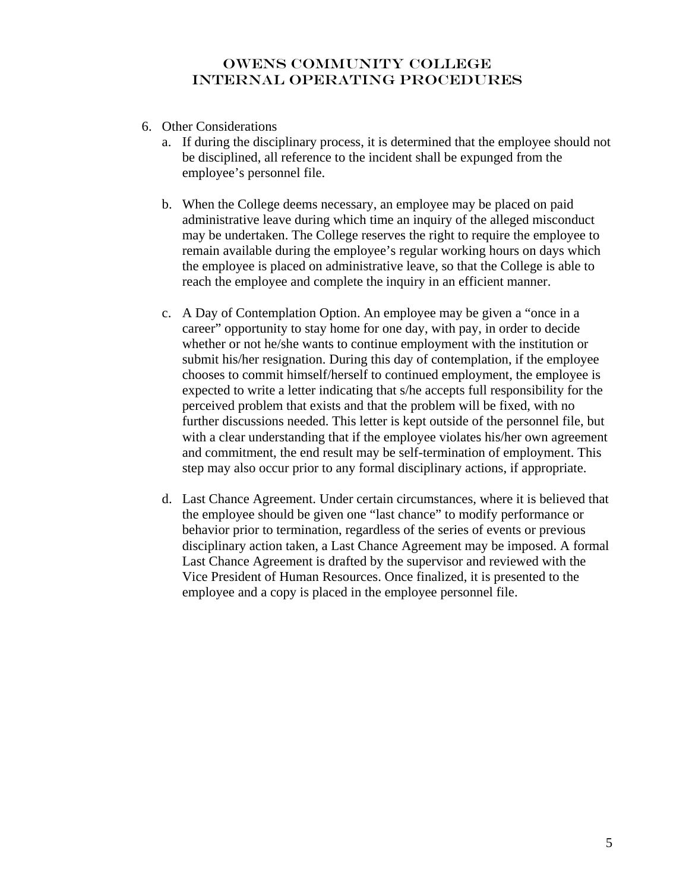- 6. Other Considerations
	- a. If during the disciplinary process, it is determined that the employee should not be disciplined, all reference to the incident shall be expunged from the employee's personnel file.
	- b. When the College deems necessary, an employee may be placed on paid administrative leave during which time an inquiry of the alleged misconduct may be undertaken. The College reserves the right to require the employee to remain available during the employee's regular working hours on days which the employee is placed on administrative leave, so that the College is able to reach the employee and complete the inquiry in an efficient manner.
	- c. A Day of Contemplation Option. An employee may be given a "once in a career" opportunity to stay home for one day, with pay, in order to decide whether or not he/she wants to continue employment with the institution or submit his/her resignation. During this day of contemplation, if the employee chooses to commit himself/herself to continued employment, the employee is expected to write a letter indicating that s/he accepts full responsibility for the perceived problem that exists and that the problem will be fixed, with no further discussions needed. This letter is kept outside of the personnel file, but with a clear understanding that if the employee violates his/her own agreement and commitment, the end result may be self-termination of employment. This step may also occur prior to any formal disciplinary actions, if appropriate.
	- d. Last Chance Agreement. Under certain circumstances, where it is believed that the employee should be given one "last chance" to modify performance or behavior prior to termination, regardless of the series of events or previous disciplinary action taken, a Last Chance Agreement may be imposed. A formal Last Chance Agreement is drafted by the supervisor and reviewed with the Vice President of Human Resources. Once finalized, it is presented to the employee and a copy is placed in the employee personnel file.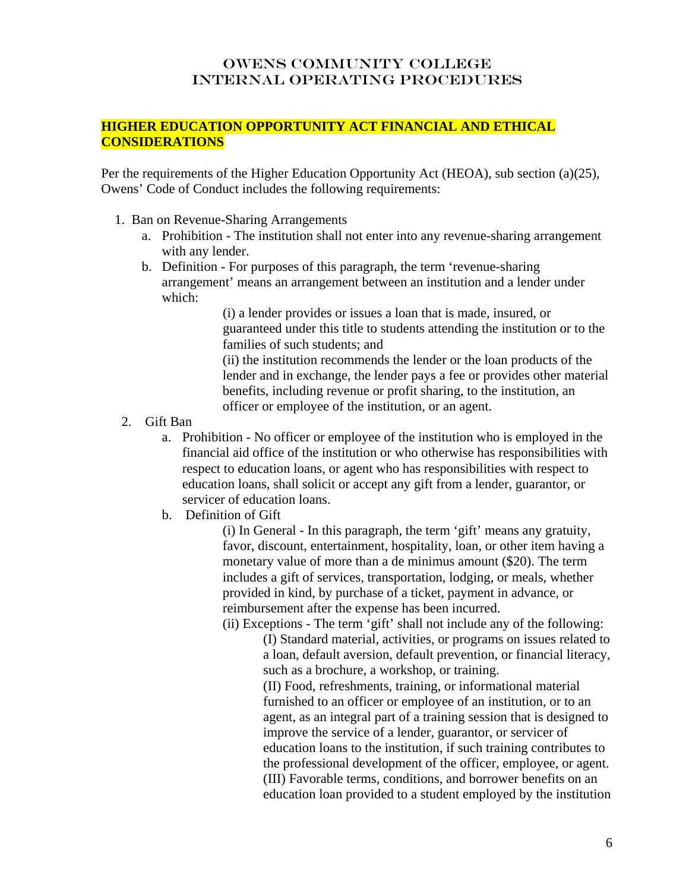## **HIGHER EDUCATION OPPORTUNITY ACT FINANCIAL AND ETHICAL CONSIDERATIONS**

Per the requirements of the Higher Education Opportunity Act (HEOA), sub section (a)(25), Owens' Code of Conduct includes the following requirements:

- 1. Ban on Revenue-Sharing Arrangements
	- a. Prohibition The institution shall not enter into any revenue-sharing arrangement with any lender.
	- b. Definition For purposes of this paragraph, the term 'revenue-sharing arrangement' means an arrangement between an institution and a lender under which:

(i) a lender provides or issues a loan that is made, insured, or guaranteed under this title to students attending the institution or to the families of such students; and

(ii) the institution recommends the lender or the loan products of the lender and in exchange, the lender pays a fee or provides other material benefits, including revenue or profit sharing, to the institution, an officer or employee of the institution, or an agent.

- 2. Gift Ban
	- a. Prohibition No officer or employee of the institution who is employed in the financial aid office of the institution or who otherwise has responsibilities with respect to education loans, or agent who has responsibilities with respect to education loans, shall solicit or accept any gift from a lender, guarantor, or servicer of education loans.
	- b. Definition of Gift

(i) In General - In this paragraph, the term 'gift' means any gratuity, favor, discount, entertainment, hospitality, loan, or other item having a monetary value of more than a de minimus amount (\$20). The term includes a gift of services, transportation, lodging, or meals, whether provided in kind, by purchase of a ticket, payment in advance, or reimbursement after the expense has been incurred.

(ii) Exceptions - The term 'gift' shall not include any of the following:

(I) Standard material, activities, or programs on issues related to a loan, default aversion, default prevention, or financial literacy, such as a brochure, a workshop, or training.

(II) Food, refreshments, training, or informational material furnished to an officer or employee of an institution, or to an agent, as an integral part of a training session that is designed to improve the service of a lender, guarantor, or servicer of education loans to the institution, if such training contributes to the professional development of the officer, employee, or agent. (III) Favorable terms, conditions, and borrower benefits on an education loan provided to a student employed by the institution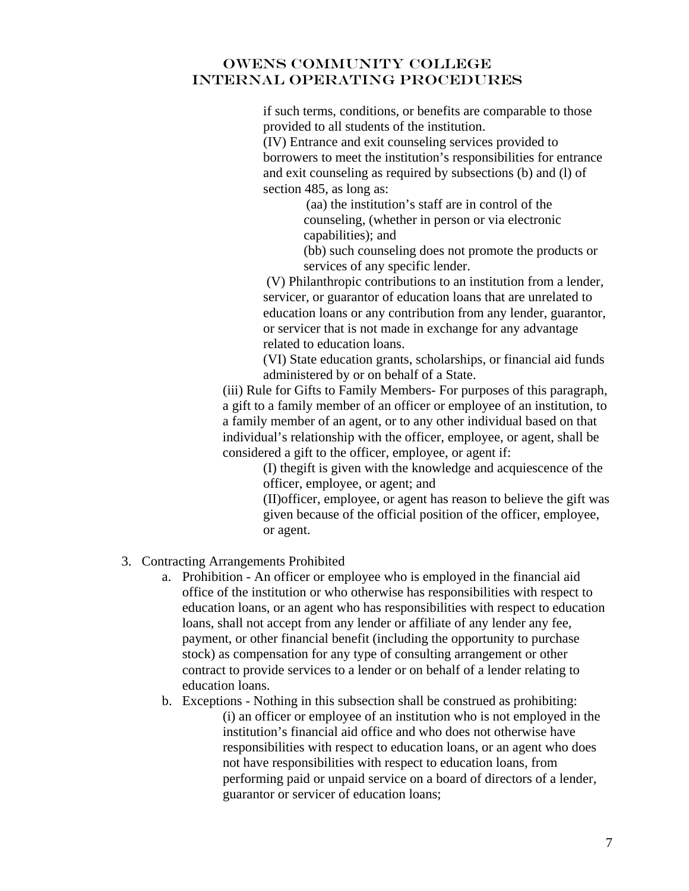if such terms, conditions, or benefits are comparable to those provided to all students of the institution.

(IV) Entrance and exit counseling services provided to borrowers to meet the institution's responsibilities for entrance and exit counseling as required by subsections (b) and (l) of section 485, as long as:

> (aa) the institution's staff are in control of the counseling, (whether in person or via electronic capabilities); and

(bb) such counseling does not promote the products or services of any specific lender.

 (V) Philanthropic contributions to an institution from a lender, servicer, or guarantor of education loans that are unrelated to education loans or any contribution from any lender, guarantor, or servicer that is not made in exchange for any advantage related to education loans.

(VI) State education grants, scholarships, or financial aid funds administered by or on behalf of a State.

(iii) Rule for Gifts to Family Members- For purposes of this paragraph, a gift to a family member of an officer or employee of an institution, to a family member of an agent, or to any other individual based on that individual's relationship with the officer, employee, or agent, shall be considered a gift to the officer, employee, or agent if:

> (I) thegift is given with the knowledge and acquiescence of the officer, employee, or agent; and

(II)officer, employee, or agent has reason to believe the gift was given because of the official position of the officer, employee, or agent.

- 3. Contracting Arrangements Prohibited
	- a. Prohibition An officer or employee who is employed in the financial aid office of the institution or who otherwise has responsibilities with respect to education loans, or an agent who has responsibilities with respect to education loans, shall not accept from any lender or affiliate of any lender any fee, payment, or other financial benefit (including the opportunity to purchase stock) as compensation for any type of consulting arrangement or other contract to provide services to a lender or on behalf of a lender relating to education loans.
	- b. Exceptions Nothing in this subsection shall be construed as prohibiting: (i) an officer or employee of an institution who is not employed in the institution's financial aid office and who does not otherwise have responsibilities with respect to education loans, or an agent who does not have responsibilities with respect to education loans, from performing paid or unpaid service on a board of directors of a lender, guarantor or servicer of education loans;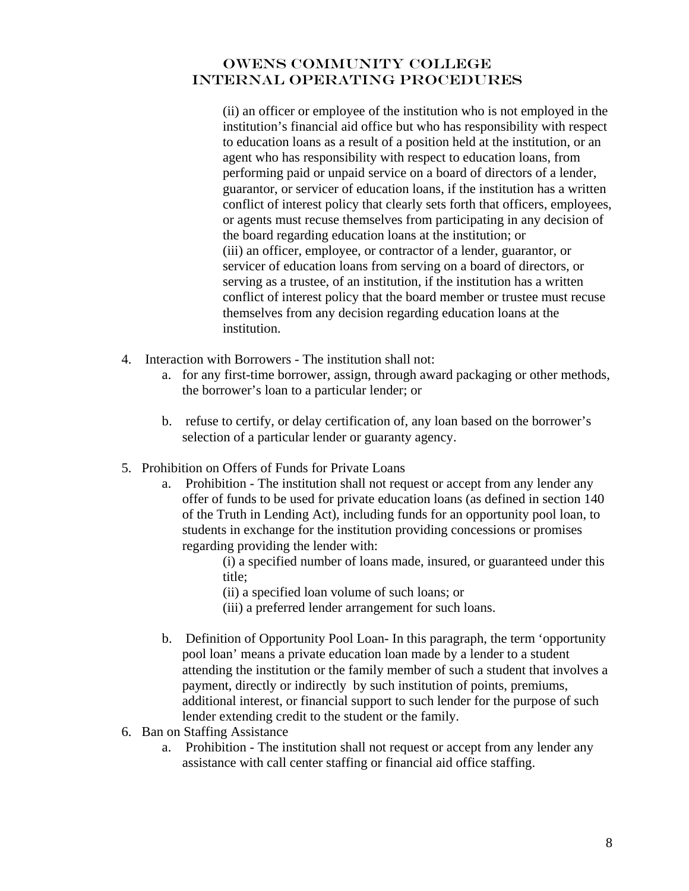(ii) an officer or employee of the institution who is not employed in the institution's financial aid office but who has responsibility with respect to education loans as a result of a position held at the institution, or an agent who has responsibility with respect to education loans, from performing paid or unpaid service on a board of directors of a lender, guarantor, or servicer of education loans, if the institution has a written conflict of interest policy that clearly sets forth that officers, employees, or agents must recuse themselves from participating in any decision of the board regarding education loans at the institution; or (iii) an officer, employee, or contractor of a lender, guarantor, or servicer of education loans from serving on a board of directors, or serving as a trustee, of an institution, if the institution has a written conflict of interest policy that the board member or trustee must recuse themselves from any decision regarding education loans at the institution.

- 4. Interaction with Borrowers The institution shall not:
	- a. for any first-time borrower, assign, through award packaging or other methods, the borrower's loan to a particular lender; or
	- b. refuse to certify, or delay certification of, any loan based on the borrower's selection of a particular lender or guaranty agency.
- 5. Prohibition on Offers of Funds for Private Loans
	- a. Prohibition The institution shall not request or accept from any lender any offer of funds to be used for private education loans (as defined in section 140 of the Truth in Lending Act), including funds for an opportunity pool loan, to students in exchange for the institution providing concessions or promises regarding providing the lender with:
		- (i) a specified number of loans made, insured, or guaranteed under this title;
		- (ii) a specified loan volume of such loans; or
		- (iii) a preferred lender arrangement for such loans.
	- b. Definition of Opportunity Pool Loan- In this paragraph, the term 'opportunity pool loan' means a private education loan made by a lender to a student attending the institution or the family member of such a student that involves a payment, directly or indirectly by such institution of points, premiums, additional interest, or financial support to such lender for the purpose of such lender extending credit to the student or the family.
- 6. Ban on Staffing Assistance
	- a. Prohibition The institution shall not request or accept from any lender any assistance with call center staffing or financial aid office staffing.